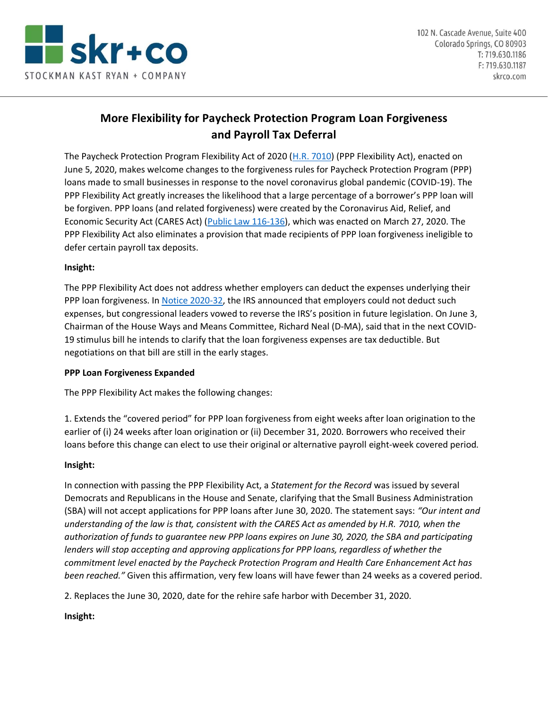

# **More Flexibility for Paycheck Protection Program Loan Forgiveness and Payroll Tax Deferral**

The Paycheck Protection Program Flexibility Act of 2020 [\(H.R. 7010\)](https://www.congress.gov/116/bills/hr7010/BILLS-116hr7010eh.pdf) (PPP Flexibility Act), enacted on June 5, 2020, makes welcome changes to the forgiveness rules for Paycheck Protection Program (PPP) loans made to small businesses in response to the novel coronavirus global pandemic (COVID-19). The PPP Flexibility Act greatly increases the likelihood that a large percentage of a borrower's PPP loan will be forgiven. PPP loans (and related forgiveness) were created by the Coronavirus Aid, Relief, and Economic Security Act (CARES Act) [\(Public Law 116-136\)](https://www.congress.gov/116/bills/hr748/BILLS-116hr748enr.pdf), which was enacted on March 27, 2020. The PPP Flexibility Act also eliminates a provision that made recipients of PPP loan forgiveness ineligible to defer certain payroll tax deposits.

#### **Insight:**

The PPP Flexibility Act does not address whether employers can deduct the expenses underlying their PPP loan forgiveness. In [Notice 2020-32,](https://www.irs.gov/pub/irs-drop/n-20-32.pdf) the IRS announced that employers could not deduct such expenses, but congressional leaders vowed to reverse the IRS's position in future legislation. On June 3, Chairman of the House Ways and Means Committee, Richard Neal (D-MA), said that in the next COVID-19 stimulus bill he intends to clarify that the loan forgiveness expenses are tax deductible. But negotiations on that bill are still in the early stages.

#### **PPP Loan Forgiveness Expanded**

The PPP Flexibility Act makes the following changes:

1. Extends the "covered period" for PPP loan forgiveness from eight weeks after loan origination to the earlier of (i) 24 weeks after loan origination or (ii) December 31, 2020. Borrowers who received their loans before this change can elect to use their original or alternative payroll eight-week covered period.

#### **Insight:**

In connection with passing the PPP Flexibility Act, a *Statement for the Record* was issued by several Democrats and Republicans in the House and Senate, clarifying that the Small Business Administration (SBA) will not accept applications for PPP loans after June 30, 2020. The statement says: *"Our intent and understanding of the law is that, consistent with the CARES Act as amended by H.R. 7010, when the authorization of funds to guarantee new PPP loans expires on June 30, 2020, the SBA and participating lenders will stop accepting and approving applications for PPP loans, regardless of whether the commitment level enacted by the Paycheck Protection Program and Health Care Enhancement Act has been reached."* Given this affirmation, very few loans will have fewer than 24 weeks as a covered period.

2. Replaces the June 30, 2020, date for the rehire safe harbor with December 31, 2020.

## **Insight:**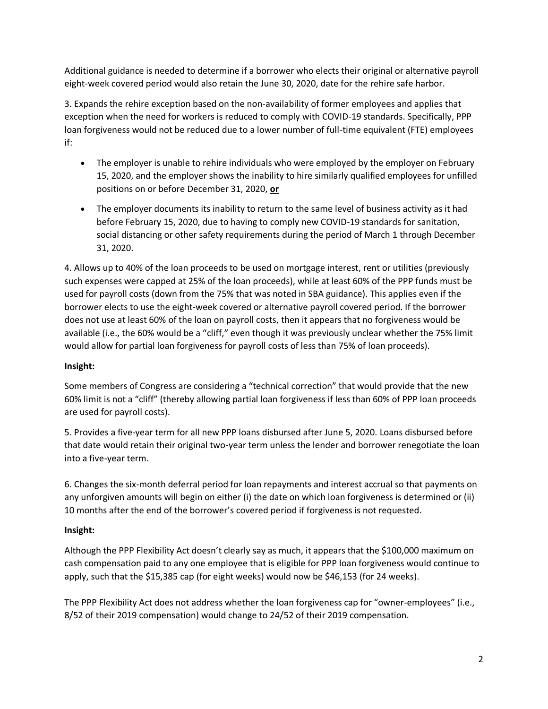Additional guidance is needed to determine if a borrower who elects their original or alternative payroll eight-week covered period would also retain the June 30, 2020, date for the rehire safe harbor.

3. Expands the rehire exception based on the non-availability of former employees and applies that exception when the need for workers is reduced to comply with COVID-19 standards. Specifically, PPP loan forgiveness would not be reduced due to a lower number of full-time equivalent (FTE) employees if:

- The employer is unable to rehire individuals who were employed by the employer on February 15, 2020, and the employer shows the inability to hire similarly qualified employees for unfilled positions on or before December 31, 2020, **or**
- The employer documents its inability to return to the same level of business activity as it had before February 15, 2020, due to having to comply new COVID-19 standards for sanitation, social distancing or other safety requirements during the period of March 1 through December 31, 2020.

4. Allows up to 40% of the loan proceeds to be used on mortgage interest, rent or utilities (previously such expenses were capped at 25% of the loan proceeds), while at least 60% of the PPP funds must be used for payroll costs (down from the 75% that was noted in SBA guidance). This applies even if the borrower elects to use the eight-week covered or alternative payroll covered period. If the borrower does not use at least 60% of the loan on payroll costs, then it appears that no forgiveness would be available (i.e., the 60% would be a "cliff," even though it was previously unclear whether the 75% limit would allow for partial loan forgiveness for payroll costs of less than 75% of loan proceeds).

## **Insight:**

Some members of Congress are considering a "technical correction" that would provide that the new 60% limit is not a "cliff" (thereby allowing partial loan forgiveness if less than 60% of PPP loan proceeds are used for payroll costs).

5. Provides a five-year term for all new PPP loans disbursed after June 5, 2020. Loans disbursed before that date would retain their original two-year term unless the lender and borrower renegotiate the loan into a five-year term.

6. Changes the six-month deferral period for loan repayments and interest accrual so that payments on any unforgiven amounts will begin on either (i) the date on which loan forgiveness is determined or (ii) 10 months after the end of the borrower's covered period if forgiveness is not requested.

## **Insight:**

Although the PPP Flexibility Act doesn't clearly say as much, it appears that the \$100,000 maximum on cash compensation paid to any one employee that is eligible for PPP loan forgiveness would continue to apply, such that the \$15,385 cap (for eight weeks) would now be \$46,153 (for 24 weeks).

The PPP Flexibility Act does not address whether the loan forgiveness cap for "owner-employees" (i.e., 8/52 of their 2019 compensation) would change to 24/52 of their 2019 compensation.